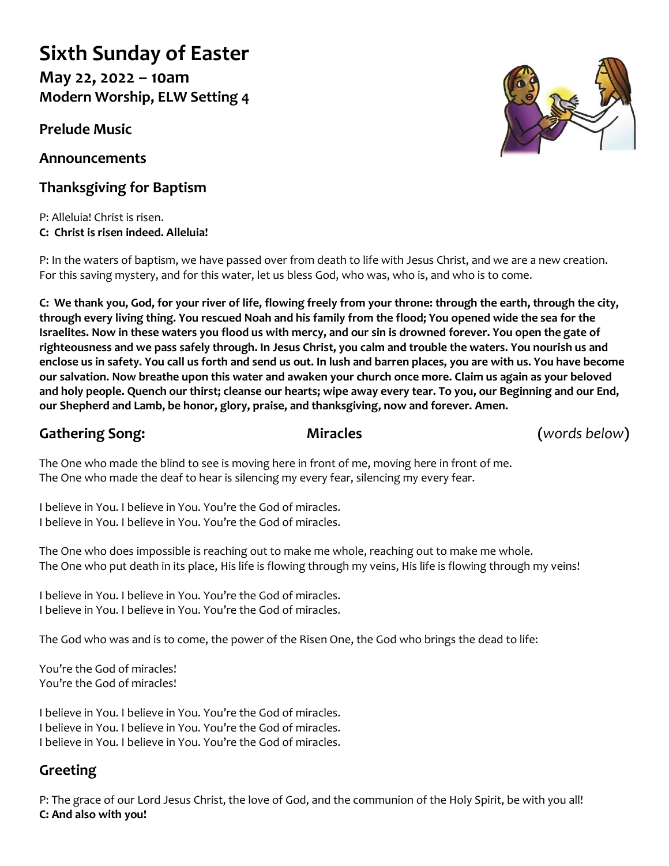# **Sixth Sunday of Easter**

**May 22, 2022 – 10am Modern Worship, ELW Setting 4**

**Prelude Music**

**Announcements**

## **Thanksgiving for Baptism**

P: Alleluia! Christ is risen. **C: Christ is risen indeed. Alleluia!**

P: In the waters of baptism, we have passed over from death to life with Jesus Christ, and we are a new creation. For this saving mystery, and for this water, let us bless God, who was, who is, and who is to come.

**C: We thank you, God, for your river of life, flowing freely from your throne: through the earth, through the city, through every living thing. You rescued Noah and his family from the flood; You opened wide the sea for the Israelites. Now in these waters you flood us with mercy, and our sin is drowned forever. You open the gate of righteousness and we pass safely through. In Jesus Christ, you calm and trouble the waters. You nourish us and enclose us in safety. You call us forth and send us out. In lush and barren places, you are with us. You have become our salvation. Now breathe upon this water and awaken your church once more. Claim us again as your beloved and holy people. Quench our thirst; cleanse our hearts; wipe away every tear. To you, our Beginning and our End, our Shepherd and Lamb, be honor, glory, praise, and thanksgiving, now and forever. Amen.**

## **Gathering Song: Miracles (***words below***)**

The One who made the blind to see is moving here in front of me, moving here in front of me. The One who made the deaf to hear is silencing my every fear, silencing my every fear.

I believe in You. I believe in You. You're the God of miracles. I believe in You. I believe in You. You're the God of miracles.

The One who does impossible is reaching out to make me whole, reaching out to make me whole. The One who put death in its place, His life is flowing through my veins, His life is flowing through my veins!

I believe in You. I believe in You. You're the God of miracles. I believe in You. I believe in You. You're the God of miracles.

The God who was and is to come, the power of the Risen One, the God who brings the dead to life:

You're the God of miracles! You're the God of miracles!

I believe in You. I believe in You. You're the God of miracles. I believe in You. I believe in You. You're the God of miracles. I believe in You. I believe in You. You're the God of miracles.

## **Greeting**

P: The grace of our Lord Jesus Christ, the love of God, and the communion of the Holy Spirit, be with you all! **C: And also with you!**

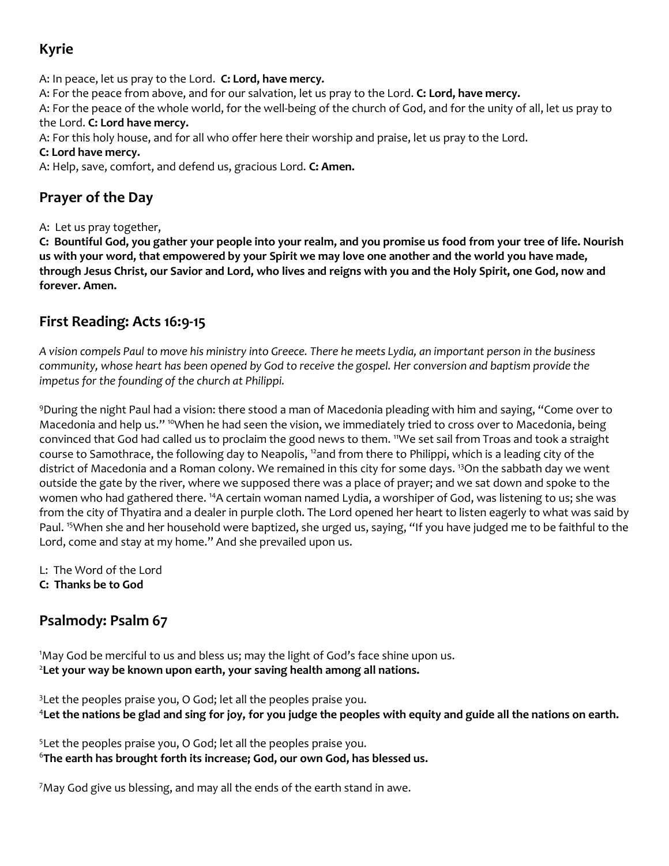## **Kyrie**

A: In peace, let us pray to the Lord. **C: Lord, have mercy.**

A: For the peace from above, and for our salvation, let us pray to the Lord. **C: Lord, have mercy.**

A: For the peace of the whole world, for the well-being of the church of God, and for the unity of all, let us pray to the Lord. **C: Lord have mercy.**

A: For this holy house, and for all who offer here their worship and praise, let us pray to the Lord.

#### **C: Lord have mercy.**

A: Help, save, comfort, and defend us, gracious Lord. **C: Amen.**

## **Prayer of the Day**

A: Let us pray together,

**C: Bountiful God, you gather your people into your realm, and you promise us food from your tree of life. Nourish us with your word, that empowered by your Spirit we may love one another and the world you have made, through Jesus Christ, our Savior and Lord, who lives and reigns with you and the Holy Spirit, one God, now and forever. Amen.**

## **First Reading: Acts 16:9-15**

*A vision compels Paul to move his ministry into Greece. There he meets Lydia, an important person in the business community, whose heart has been opened by God to receive the gospel. Her conversion and baptism provide the impetus for the founding of the church at Philippi.*

<sup>9</sup>During the night Paul had a vision: there stood a man of Macedonia pleading with him and saying, "Come over to Macedonia and help us." <sup>10</sup>When he had seen the vision, we immediately tried to cross over to Macedonia, being convinced that God had called us to proclaim the good news to them. <sup>11</sup>We set sail from Troas and took a straight course to Samothrace, the following day to Neapolis, <sup>12</sup>and from there to Philippi, which is a leading city of the district of Macedonia and a Roman colony. We remained in this city for some days. <sup>13</sup>On the sabbath day we went outside the gate by the river, where we supposed there was a place of prayer; and we sat down and spoke to the women who had gathered there. <sup>14</sup>A certain woman named Lydia, a worshiper of God, was listening to us; she was from the city of Thyatira and a dealer in purple cloth. The Lord opened her heart to listen eagerly to what was said by Paul. <sup>15</sup>When she and her household were baptized, she urged us, saying, "If you have judged me to be faithful to the Lord, come and stay at my home." And she prevailed upon us.

- L: The Word of the Lord
- **C: Thanks be to God**

## **Psalmody: Psalm 67**

<sup>1</sup>May God be merciful to us and bless us; may the light of God's face shine upon us. <sup>2</sup>**Let your way be known upon earth, your saving health among all nations.**

<sup>3</sup> Let the peoples praise you, O God; let all the peoples praise you. <sup>4</sup>**Let the nations be glad and sing for joy, for you judge the peoples with equity and guide all the nations on earth.**

<sup>5</sup>Let the peoples praise you, O God; let all the peoples praise you. <sup>6</sup>**The earth has brought forth its increase; God, our own God, has blessed us.**

<sup>7</sup>May God give us blessing, and may all the ends of the earth stand in awe.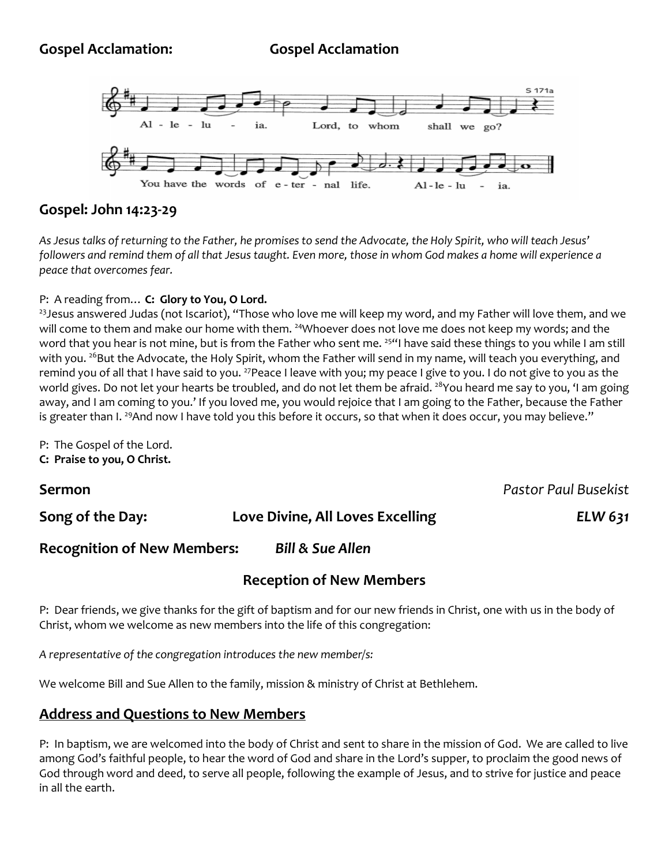

### **Gospel: John 14:23-29**

*As Jesus talks of returning to the Father, he promises to send the Advocate, the Holy Spirit, who will teach Jesus' followers and remind them of all that Jesus taught. Even more, those in whom God makes a home will experience a peace that overcomes fear.*

P: A reading from… **C: Glory to You, O Lord.**

<sup>23</sup> Jesus answered Judas (not Iscariot), "Those who love me will keep my word, and my Father will love them, and we will come to them and make our home with them. <sup>24</sup>Whoever does not love me does not keep my words; and the word that you hear is not mine, but is from the Father who sent me. <sup>254</sup>I have said these things to you while I am still with you. <sup>26</sup>But the Advocate, the Holy Spirit, whom the Father will send in my name, will teach you everything, and remind you of all that I have said to you. <sup>27</sup> Peace I leave with you; my peace I give to you. I do not give to you as the world gives. Do not let your hearts be troubled, and do not let them be afraid. <sup>28</sup>You heard me say to you, 'I am going away, and I am coming to you.' If you loved me, you would rejoice that I am going to the Father, because the Father is greater than I.  $^{29}$ And now I have told you this before it occurs, so that when it does occur, you may believe."

P: The Gospel of the Lord. **C: Praise to you, O Christ.**

**Sermon** *Pastor Paul Busekist*

### **Song of the Day: Love Divine, All Loves Excelling** *ELW 631*

**Recognition of New Members:** *Bill & Sue Allen*

### **Reception of New Members**

P: Dear friends, we give thanks for the gift of baptism and for our new friends in Christ, one with us in the body of Christ, whom we welcome as new members into the life of this congregation:

*A representative of the congregation introduces the new member/s:*

We welcome Bill and Sue Allen to the family, mission & ministry of Christ at Bethlehem.

### **Address and Questions to New Members**

P: In baptism, we are welcomed into the body of Christ and sent to share in the mission of God. We are called to live among God's faithful people, to hear the word of God and share in the Lord's supper, to proclaim the good news of God through word and deed, to serve all people, following the example of Jesus, and to strive for justice and peace in all the earth.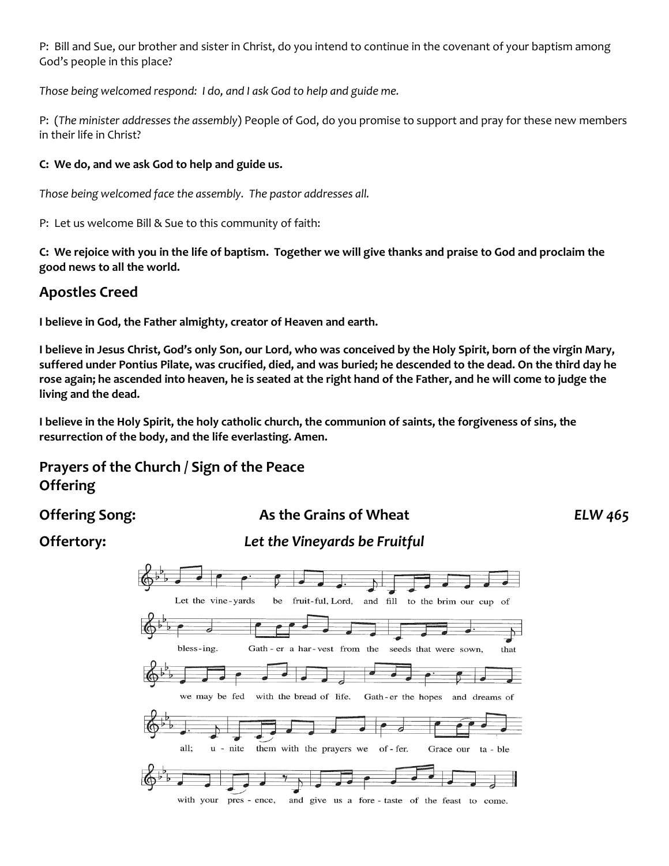P: Bill and Sue, our brother and sister in Christ, do you intend to continue in the covenant of your baptism among God's people in this place?

*Those being welcomed respond: I do, and I ask God to help and guide me.*

P: (*The minister addresses the assembly*) People of God, do you promise to support and pray for these new members in their life in Christ?

#### **C: We do, and we ask God to help and guide us.**

*Those being welcomed face the assembly. The pastor addresses all.*

P: Let us welcome Bill & Sue to this community of faith:

**C: We rejoice with you in the life of baptism. Together we will give thanks and praise to God and proclaim the good news to all the world.**

#### **Apostles Creed**

**I believe in God, the Father almighty, creator of Heaven and earth.** 

**I believe in Jesus Christ, God's only Son, our Lord, who was conceived by the Holy Spirit, born of the virgin Mary, suffered under Pontius Pilate, was crucified, died, and was buried; he descended to the dead. On the third day he rose again; he ascended into heaven, he is seated at the right hand of the Father, and he will come to judge the living and the dead.**

**I believe in the Holy Spirit, the holy catholic church, the communion of saints, the forgiveness of sins, the resurrection of the body, and the life everlasting. Amen.**

**Prayers of the Church / Sign of the Peace Offering**

#### **Offering Song: As the Grains of Wheat** *ELW 465*



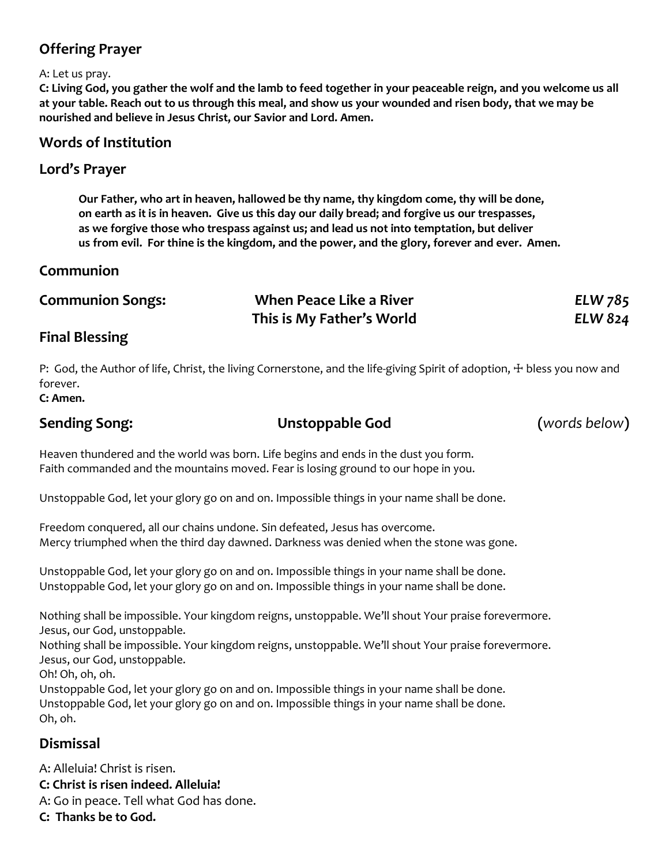## **Offering Prayer**

A: Let us pray.

**C: Living God, you gather the wolf and the lamb to feed together in your peaceable reign, and you welcome us all at your table. Reach out to us through this meal, and show us your wounded and risen body, that we may be nourished and believe in Jesus Christ, our Savior and Lord. Amen.**

### **Words of Institution**

#### **Lord's Prayer**

**Our Father, who art in heaven, hallowed be thy name, thy kingdom come, thy will be done, on earth as it is in heaven. Give us this day our daily bread; and forgive us our trespasses, as we forgive those who trespass against us; and lead us not into temptation, but deliver us from evil. For thine is the kingdom, and the power, and the glory, forever and ever. Amen.**

### **Communion**

| <b>Communion Songs:</b> | <b>When Peace Like a River</b> | <b>ELW 785</b> |
|-------------------------|--------------------------------|----------------|
|                         | This is My Father's World      | <b>ELW 824</b> |

### **Final Blessing**

P: God, the Author of life, Christ, the living Cornerstone, and the life-giving Spirit of adoption,  $∔$  bless you now and forever.

**C: Amen.**

## **Sending Song: Unstoppable God (***words below***)**

Heaven thundered and the world was born. Life begins and ends in the dust you form. Faith commanded and the mountains moved. Fear is losing ground to our hope in you.

Unstoppable God, let your glory go on and on. Impossible things in your name shall be done.

Freedom conquered, all our chains undone. Sin defeated, Jesus has overcome. Mercy triumphed when the third day dawned. Darkness was denied when the stone was gone.

Unstoppable God, let your glory go on and on. Impossible things in your name shall be done. Unstoppable God, let your glory go on and on. Impossible things in your name shall be done.

Nothing shall be impossible. Your kingdom reigns, unstoppable. We'll shout Your praise forevermore. Jesus, our God, unstoppable.

Nothing shall be impossible. Your kingdom reigns, unstoppable. We'll shout Your praise forevermore. Jesus, our God, unstoppable.

Oh! Oh, oh, oh.

Unstoppable God, let your glory go on and on. Impossible things in your name shall be done. Unstoppable God, let your glory go on and on. Impossible things in your name shall be done. Oh, oh.

### **Dismissal**

A: Alleluia! Christ is risen. **C: Christ is risen indeed. Alleluia!** A: Go in peace. Tell what God has done. **C: Thanks be to God.**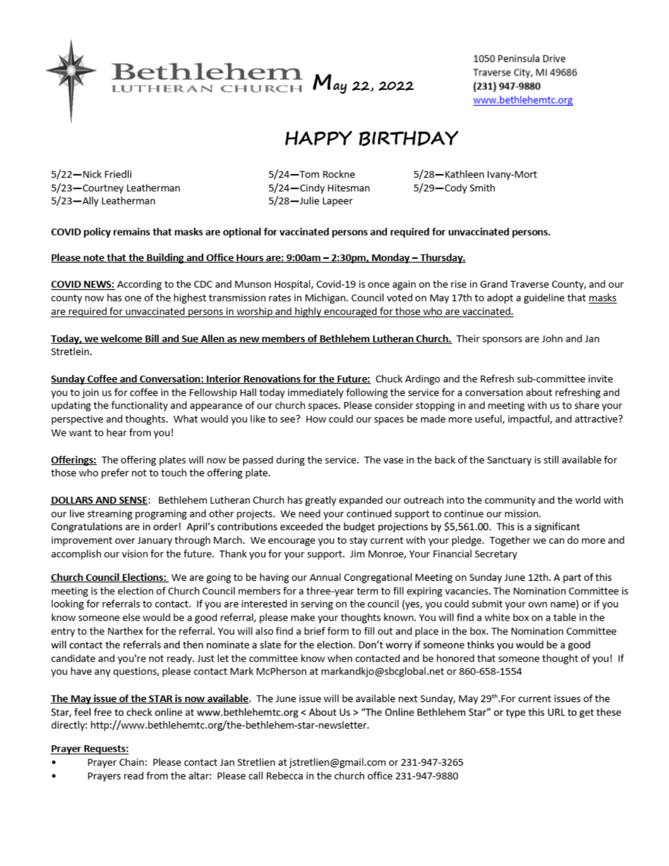

1050 Peninsula Drive Traverse City, MI 49686 (231) 947-9880 www.bethlehemtc.org

# **HAPPY BIRTHDAY**

5/22-Nick Friedli 5/23-Courtney Leatherman 5/23-Ally Leatherman

5/24-Tom Rockne 5/24-Cindy Hitesman 5/28-Julie Lapeer

5/28-Kathleen Ivany-Mort 5/29-Cody Smith

#### COVID policy remains that masks are optional for vaccinated persons and required for unvaccinated persons.

#### Please note that the Building and Office Hours are: 9:00am - 2:30pm, Monday - Thursday.

COVID NEWS: According to the CDC and Munson Hospital, Covid-19 is once again on the rise in Grand Traverse County, and our county now has one of the highest transmission rates in Michigan. Council voted on May 17th to adopt a guideline that masks are required for unvaccinated persons in worship and highly encouraged for those who are vaccinated.

Today, we welcome Bill and Sue Allen as new members of Bethlehem Lutheran Church. Their sponsors are John and Jan Stretlein.

Sunday Coffee and Conversation: Interior Renovations for the Future: Chuck Ardingo and the Refresh sub-committee invite you to join us for coffee in the Fellowship Hall today immediately following the service for a conversation about refreshing and updating the functionality and appearance of our church spaces. Please consider stopping in and meeting with us to share your perspective and thoughts. What would you like to see? How could our spaces be made more useful, impactful, and attractive? We want to hear from you!

Offerings: The offering plates will now be passed during the service. The vase in the back of the Sanctuary is still available for those who prefer not to touch the offering plate.

DOLLARS AND SENSE: Bethlehem Lutheran Church has greatly expanded our outreach into the community and the world with our live streaming programing and other projects. We need your continued support to continue our mission. Congratulations are in order! April's contributions exceeded the budget projections by \$5,561.00. This is a significant improvement over January through March. We encourage you to stay current with your pledge. Together we can do more and accomplish our vision for the future. Thank you for your support. Jim Monroe, Your Financial Secretary

Church Council Elections: We are going to be having our Annual Congregational Meeting on Sunday June 12th. A part of this meeting is the election of Church Council members for a three-year term to fill expiring vacancies. The Nomination Committee is looking for referrals to contact. If you are interested in serving on the council (yes, you could submit your own name) or if you know someone else would be a good referral, please make your thoughts known. You will find a white box on a table in the entry to the Narthex for the referral. You will also find a brief form to fill out and place in the box. The Nomination Committee will contact the referrals and then nominate a slate for the election. Don't worry if someone thinks you would be a good candidate and you're not ready. Just let the committee know when contacted and be honored that someone thought of you! If you have any questions, please contact Mark McPherson at markandkjo@sbcglobal.net or 860-658-1554

The May issue of the STAR is now available. The June issue will be available next Sunday, May 29th.For current issues of the Star, feel free to check online at www.bethlehemtc.org < About Us > "The Online Bethlehem Star" or type this URL to get these directly: http://www.bethlehemtc.org/the-bethlehem-star-newsletter.

#### **Prayer Requests:**

- Prayer Chain: Please contact Jan Stretlien at jstretlien@gmail.com or 231-947-3265
- Prayers read from the altar: Please call Rebecca in the church office 231-947-9880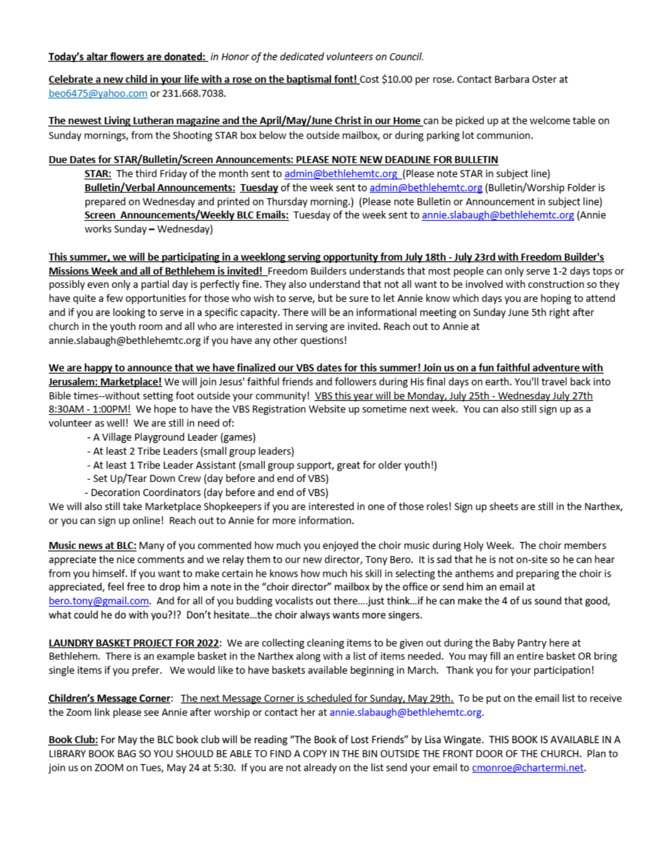#### Today's altar flowers are donated: in Honor of the dedicated volunteers on Council.

Celebrate a new child in your life with a rose on the baptismal font! Cost \$10.00 per rose. Contact Barbara Oster at beo6475@yahoo.com or 231.668.7038.

The newest Living Lutheran magazine and the April/May/June Christ in our Home can be picked up at the welcome table on Sunday mornings, from the Shooting STAR box below the outside mailbox, or during parking lot communion.

#### Due Dates for STAR/Bulletin/Screen Announcements: PLEASE NOTE NEW DEADLINE FOR BULLETIN

STAR: The third Friday of the month sent to admin@bethlehemtc.org (Please note STAR in subject line) Bulletin/Verbal Announcements: Tuesday of the week sent to admin@bethlehemtc.org (Bulletin/Worship Folder is prepared on Wednesday and printed on Thursday morning.) (Please note Bulletin or Announcement in subject line) Screen Announcements/Weekly BLC Emails: Tuesday of the week sent to annie.slabaugh@bethlehemtc.org (Annie works Sunday - Wednesday)

This summer, we will be participating in a weeklong serving opportunity from July 18th - July 23rd with Freedom Builder's Missions Week and all of Bethlehem is invited! Freedom Builders understands that most people can only serve 1-2 days tops or possibly even only a partial day is perfectly fine. They also understand that not all want to be involved with construction so they have quite a few opportunities for those who wish to serve, but be sure to let Annie know which days you are hoping to attend and if you are looking to serve in a specific capacity. There will be an informational meeting on Sunday June 5th right after church in the youth room and all who are interested in serving are invited. Reach out to Annie at annie.slabaugh@bethlehemtc.org if you have any other questions!

#### We are happy to announce that we have finalized our VBS dates for this summer! Join us on a fun faithful adventure with

Jerusalem: Marketplace! We will join Jesus' faithful friends and followers during His final days on earth. You'll travel back into Bible times--without setting foot outside your community! VBS this year will be Monday, July 25th - Wednesday July 27th 8:30AM - 1:00PM! We hope to have the VBS Registration Website up sometime next week. You can also still sign up as a volunteer as well! We are still in need of:

- A Village Playground Leader (games)
- At least 2 Tribe Leaders (small group leaders)
- At least 1 Tribe Leader Assistant (small group support, great for older youth!)
- Set Up/Tear Down Crew (day before and end of VBS)
- Decoration Coordinators (day before and end of VBS)

We will also still take Marketplace Shopkeepers if you are interested in one of those roles! Sign up sheets are still in the Narthex, or you can sign up online! Reach out to Annie for more information.

Music news at BLC: Many of you commented how much you enjoyed the choir music during Holy Week. The choir members appreciate the nice comments and we relay them to our new director, Tony Bero. It is sad that he is not on-site so he can hear from you himself. If you want to make certain he knows how much his skill in selecting the anthems and preparing the choir is appreciated, feel free to drop him a note in the "choir director" mailbox by the office or send him an email at bero.tony@gmail.com. And for all of you budding vocalists out there....just think...if he can make the 4 of us sound that good, what could he do with you?!? Don't hesitate...the choir always wants more singers.

LAUNDRY BASKET PROJECT FOR 2022: We are collecting cleaning items to be given out during the Baby Pantry here at Bethlehem. There is an example basket in the Narthex along with a list of items needed. You may fill an entire basket OR bring single items if you prefer. We would like to have baskets available beginning in March. Thank you for your participation!

Children's Message Corner: The next Message Corner is scheduled for Sunday, May 29th. To be put on the email list to receive the Zoom link please see Annie after worship or contact her at annie.slabaugh@bethlehemtc.org.

Book Club: For May the BLC book club will be reading "The Book of Lost Friends" by Lisa Wingate. THIS BOOK IS AVAILABLE IN A LIBRARY BOOK BAG SO YOU SHOULD BE ABLE TO FIND A COPY IN THE BIN OUTSIDE THE FRONT DOOR OF THE CHURCH. Plan to join us on ZOOM on Tues, May 24 at 5:30. If you are not already on the list send your email to cmonroe@chartermi.net.